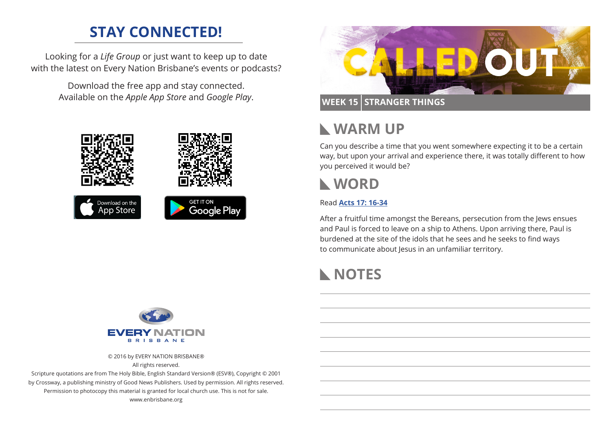## **STAY CONNECTED!**

Looking for a *Life Group* or just want to keep up to date with the latest on Every Nation Brisbane's events or podcasts?

> Download the free app and stay connected. Available on the *Apple App Store* and *Google Play*.





### **WEEK 15 STRANGER THINGS**

## **WARM UP**

Can you describe a time that you went somewhere expecting it to be a certain way, but upon your arrival and experience there, it was totally different to how you perceived it would be?

## **WORD**

### Read **[Acts 17: 16-34](https://www.biblegateway.com/passage/?search=Acts+17%3A16-34&version=ESV)**

After a fruitful time amongst the Bereans, persecution from the Jews ensues and Paul is forced to leave on a ship to Athens. Upon arriving there, Paul is burdened at the site of the idols that he sees and he seeks to find ways to communicate about Jesus in an unfamiliar territory.

# **NOTES**



© 2016 by EVERY NATION BRISBANE®

All rights reserved.

Scripture quotations are from The Holy Bible, English Standard Version® (ESV®), Copyright © 2001 by Crossway, a publishing ministry of Good News Publishers. Used by permission. All rights reserved. Permission to photocopy this material is granted for local church use. This is not for sale. www.enbrisbane.org